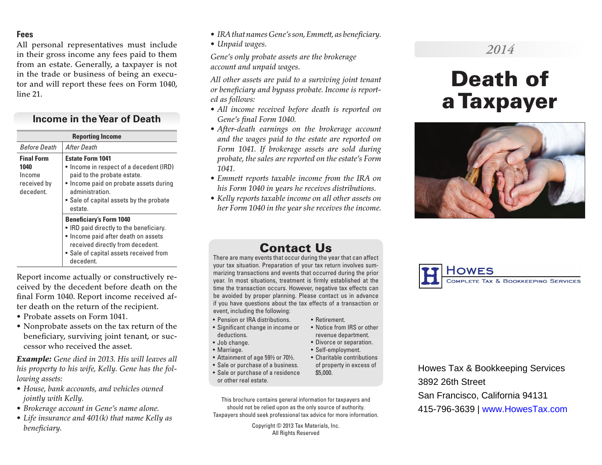#### **Fees**

All personal representatives must include in their gross income any fees paid to them from an estate. Generally, a taxpayer is not in the trade or business of being an executor and will report these fees on Form 1040, line 21.

## **Income in the Year of Death**

| <b>Reporting Income</b>                                         |                                                                                                                                                                                                                      |
|-----------------------------------------------------------------|----------------------------------------------------------------------------------------------------------------------------------------------------------------------------------------------------------------------|
| <b>Before Death</b>                                             | After Death                                                                                                                                                                                                          |
| <b>Final Form</b><br>1040<br>Income<br>received by<br>decedent. | <b>Estate Form 1041</b><br>• Income in respect of a decedent (IRD)<br>paid to the probate estate.<br>• Income paid on probate assets during<br>administration.<br>• Sale of capital assets by the probate<br>estate. |
|                                                                 | <b>Beneficiary's Form 1040</b><br>• IRD paid directly to the beneficiary.<br>• Income paid after death on assets<br>received directly from decedent.<br>• Sale of capital assets received from<br>decedent.          |

Report income actually or constructively received by the decedent before death on the final Form 1040. Report income received after death on the return of the recipient.

- Probate assets on Form 1041.
- Nonprobate assets on the tax return of the beneficiary, surviving joint tenant, or successor who received the asset.

*Example: Gene died in 2013. His will leaves all his property to his wife, Kelly. Gene has the following assets:*

- *• House, bank accounts, and vehicles owned jointly with Kelly.*
- *• Brokerage account in Gene's name alone.*
- *• Life insurance and 401(k) that name Kelly as beneficiary.*
- *• IRA that names Gene's son, Emmett, as beneficiary.*
- *• Unpaid wages.*

*Gene's only probate assets are the brokerage account and unpaid wages.*

*All other assets are paid to a surviving joint tenant or beneficiary and bypass probate. Income is reported as follows:*

- *• All income received before death is reported on Gene's final Form 1040.*
- *• After-death earnings on the brokerage account and the wages paid to the estate are reported on Form 1041. If brokerage assets are sold during probate, the sales are reported on the estate's Form 1041.*
- *• Emmett reports taxable income from the IRA on his Form 1040 in years he receives distributions.*
- *• Kelly reports taxable income on all other assets on her Form 1040 in the year she receives the income.*

# *2014*

# Death of a Taxpayer



# Contact Us

There are many events that occur during the year that can affect your tax situation. Preparation of your tax return involves summarizing transactions and events that occurred during the prior year. In most situations, treatment is firmly established at the time the transaction occurs. However, negative tax effects can be avoided by proper planning. Please contact us in advance if you have questions about the tax effects of a transaction or event, including the following:

• Retirement.

• Notice from IRS or other revenue department. • Divorce or separation. • Self-employment.

- Pension or IRA distributions.
- Significant change in income or deductions.
- Job change.
- Marriage.
- Attainment of age 59½ or 70½. • Charitable contributions
- Sale or purchase of a business. of property in excess of \$5,000.
- Sale or purchase of a residence or other real estate.
- This brochure contains general information for taxpayers and should not be relied upon as the only source of authority. Taxpayers should seek professional tax advice for more information.

Copyright © 2013 Tax Materials, Inc. All Rights Reserved



Howes Tax & Bookkeeping Services 3892 26th Street San Francisco, California 94131 415-796-3639 | www.HowesTax.com